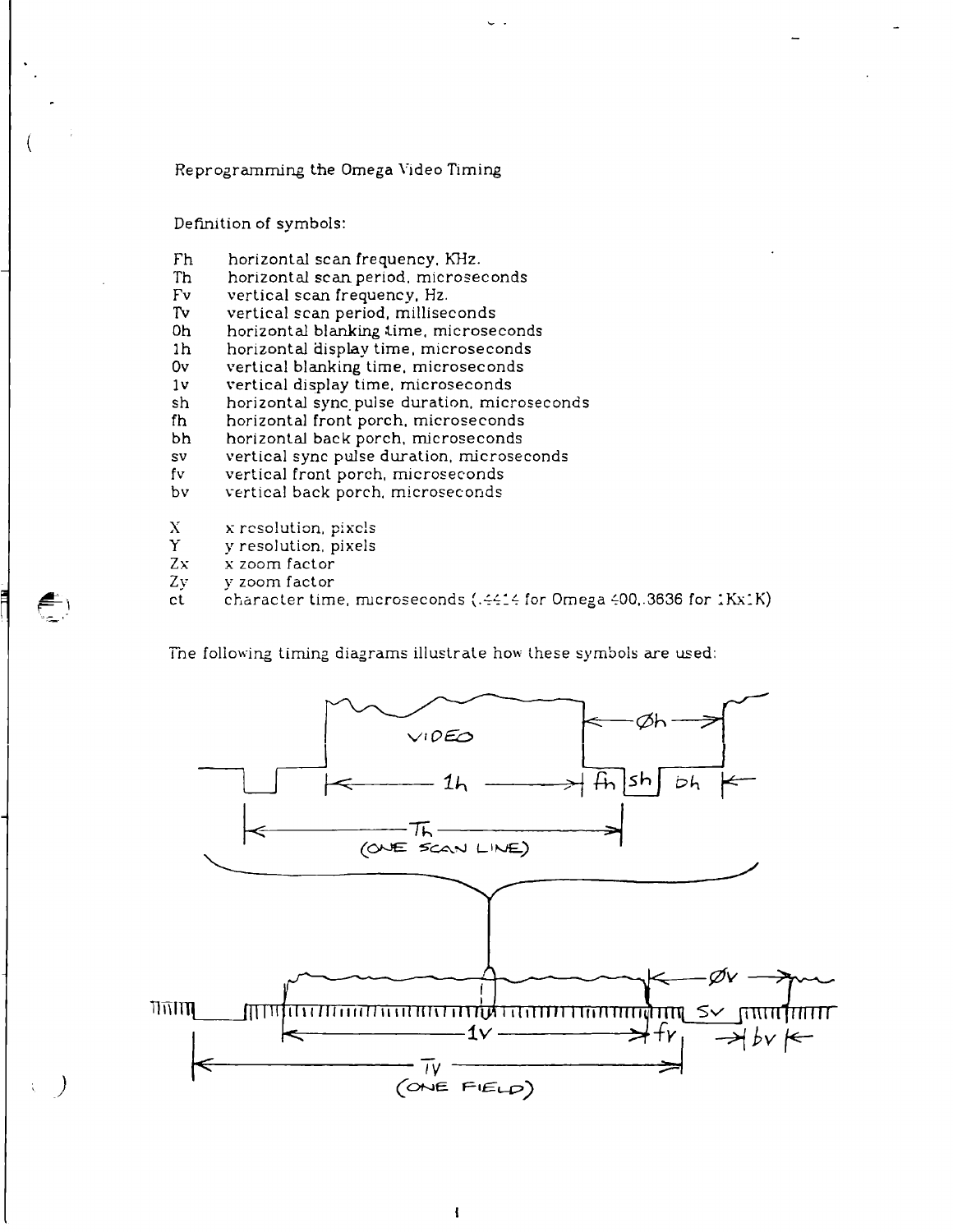## Re programming the Omega Video Timing

Definition of symbols:

- Fh horizontal scan frequency, KHz.
- Th horizontal scan period, microseconds
- Fv vertical scan frequency. Hz.
- Tv vertical scan period, milliseconds
- Oh horizontal blanking lime, microseconds
- Ih horizontal display time, microseconds
- Ov vertical blanking time, microseconds
- Iv vertical display time, microseconds
- sh horizontal sync, pulse duration, microseconds
- fh horizontal front porch, microseconds
- bh horizontal back porch, microseconds
- sv vertical sync pulse duration, microseconds
- fv vertical front porch, microseconds
- bv vertical back porch, microseconds
- X x resolution, pixels
- Y y resolution, pixels
- 
- Zx x zoom factor<br>Zy y zoom factor y zoom factor
- character time, microseconds (.4414 for Omega 400, 3636 for 1Kx1K)  $ct$

The following timing diagrams illustrate how these symbols are used:

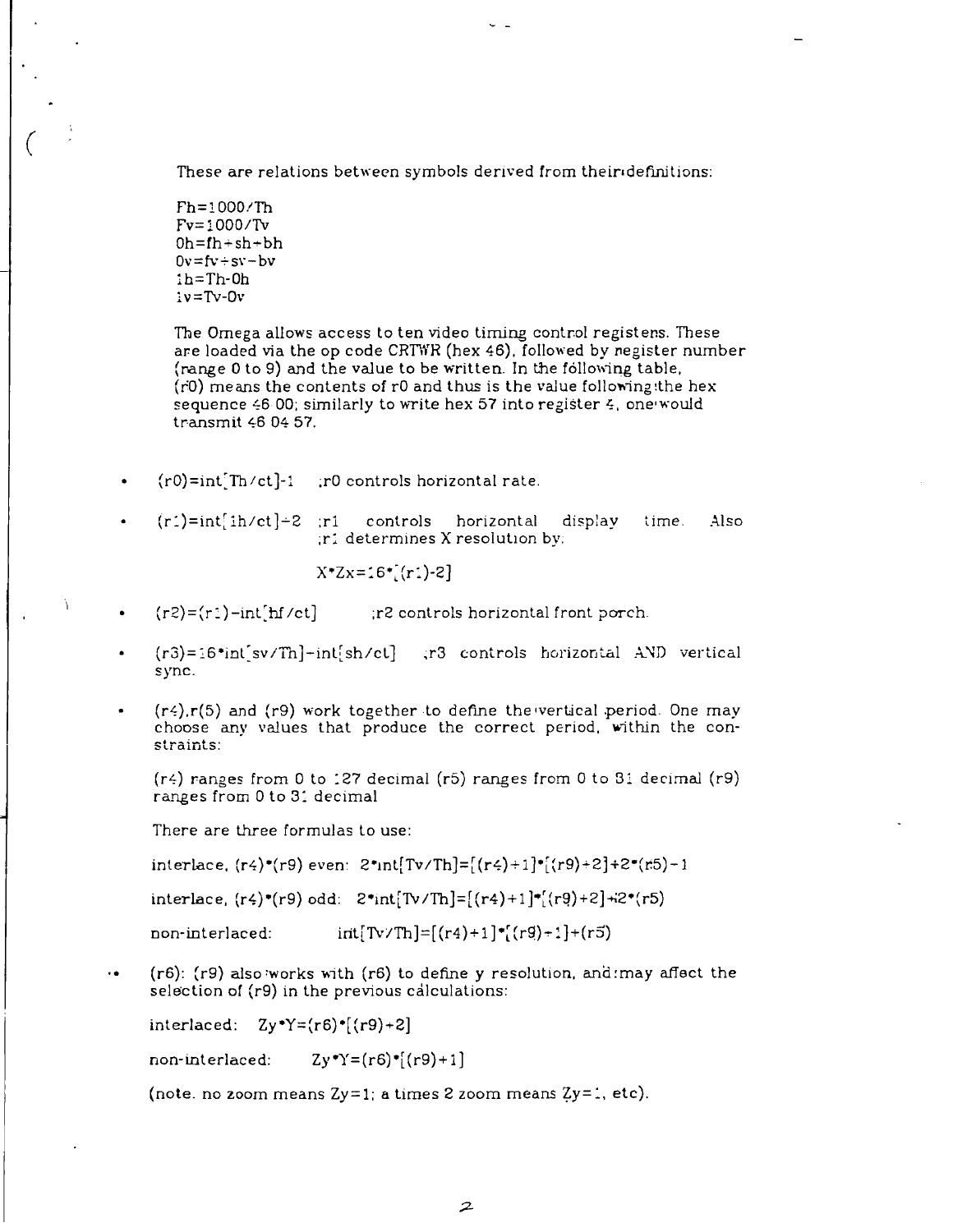These are relations between symbols derived from their«definitions:

Fh=1000/Th Fv=!000/Tv  $0h=fh+sh+bh$  $0v = fv + sv - bv$ lh=Th-0h  $iv = Tv -0v$ 

The Omega allows access to ten video timing control registers. These are loaded via the op code CRTWR (hex 46). followed by register number (range 0 to 9) and the value to be written. In the following table, (r'O) means the contents of rO and thus is the value following:the hex sequence 46 00; similarly to write hex 57 into register 4, one would transmit 46 04 57.

- $(r0)=int [Th/ct]-1$  ; r0 controls horizontal rate.
- $(r<sub>i</sub>)=int[ih/ct]+2$  ;r1 controls horizontal display time. Also ;ri determines X resolution by.

 $X^*Zx=16^*[r_1]-2]$ 

- $(r2)=(r1)-int[hf/ct]$  ;r2 controls horizontal front porch.
- (r3)=16\*int'sv/Th]-inl[sh/ct] ,r3 controls horizontal AND vertical sync.
- $(r<sub>4</sub>),r(5)$  and  $(r<sub>9</sub>)$  work together to define the vertical period. One may choose any values that produce the correct period, within the con $strains:$

( $r$ 4) ranges from 0 to 127 decimal ( $r$ 5) ranges from 0 to 31 decimal ( $r$ 9) ranges from 0 to 31 decimal

There are three formulas to use:

interlace,  $(r4)$ \*(r9) even:  $2*int[Tv/Th] = [(r4)+1]*[(r9)+2]+2*(r5)-1$ 

interlace,  $(r4)$ \*(r9) odd:  $2*int[Tv/Th] = [(r4)+1] * [(r9)+2] +2*(r5)$ 

non-interlaced:  $int[\text{Tv/Th}]=[(r4)+1]^*[(r9)+1]+(r5)$ 

 $\ddot{\bullet}$ ( $r6$ ): ( $r9$ ) also works with ( $r6$ ) to define y resolution, and may affect the selection of (r9) in the previous calculations:

interlaced:  $\text{Zy*Y=(r6)*[(r9)+2]}$ 

non-interlaced:  $Zy^*Y=(r6)^*[(r9)+1]$ 

(note, no zoom means  $Zy=1$ ; a times 2 zoom means  $Zy=1$ , etc).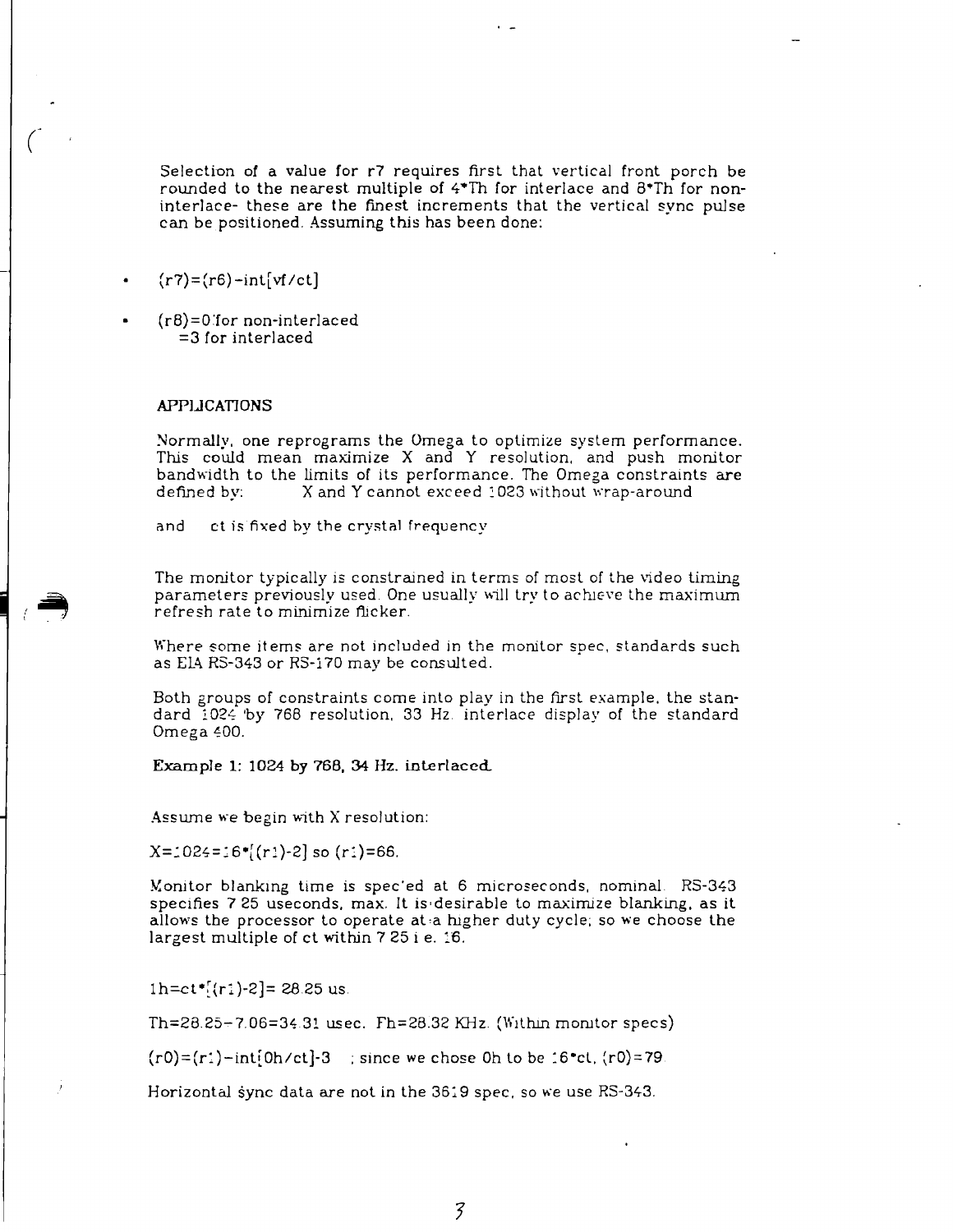Selection of a value for r7 requires first that vertical front porch be rounded to the nearest multiple of 4\*Th for interlace and 8\*Th for noninterlace- these are the finest increments that the vertical sync pulse can be positioned. Assuming this has been done:

- $(r7)=(r6)-int[vf/ct]$
- (r8) = 0'for non-interlaced = 3 for interlaced

## APPLICATIONS

Normally, one reprograms the Omega to optimize system performance. This could mean maximize X and Y resolution, and push monitor bandwidth to the limits of its performance. The Omega constraints are defined by: X and Y cannot exceed 1023 without wrap-around

and ct is fixed by the crystal frequency

The monitor typically is constrained in terms of most of the video timing parameters previously used. One usually will try to achieve the maximum refresh rate to minimize flicker.

Where some items are not included in the monitor spec, standards such as E1A R5-343 or R3-170 may be consulted.

Both groups of constraints come into play in the first example, the standard 1024 'by 768 resolution, 33 Hz. interlace display of the standard Omega 400.

Example 1: 1024 by 768, 34 Hz. interlaced.

Assume we begin with X resolution:

 $X = 1024 = 16$ \* $[(r1)-2]$  so  $(r1) = 66$ .

Monitor blanking time is spec'ed at 6 microseconds, nominal R3-343 specifies 7 25 useconds, max. It is-desirable to maximize blanking, as it allows the processor to operate at a higher duty cycle; so we choose the largest multiple of ct within 7 25 i e. 16.

 $1h=ct*[r1]-2] = 28.25$  us.

 $Th=28.25-7.06=34.31$  usec.  $Th=28.32$  KHz. (Within monitor specs)

 $(0) = (r_1) - \text{int}[0h/ct] - 3$  ; since we chose 0h to be 16<sup>o</sup>ct,  $(r_0) = 79$ 

Horizontal sync data are not in the 3619 spec, so we use R3-343.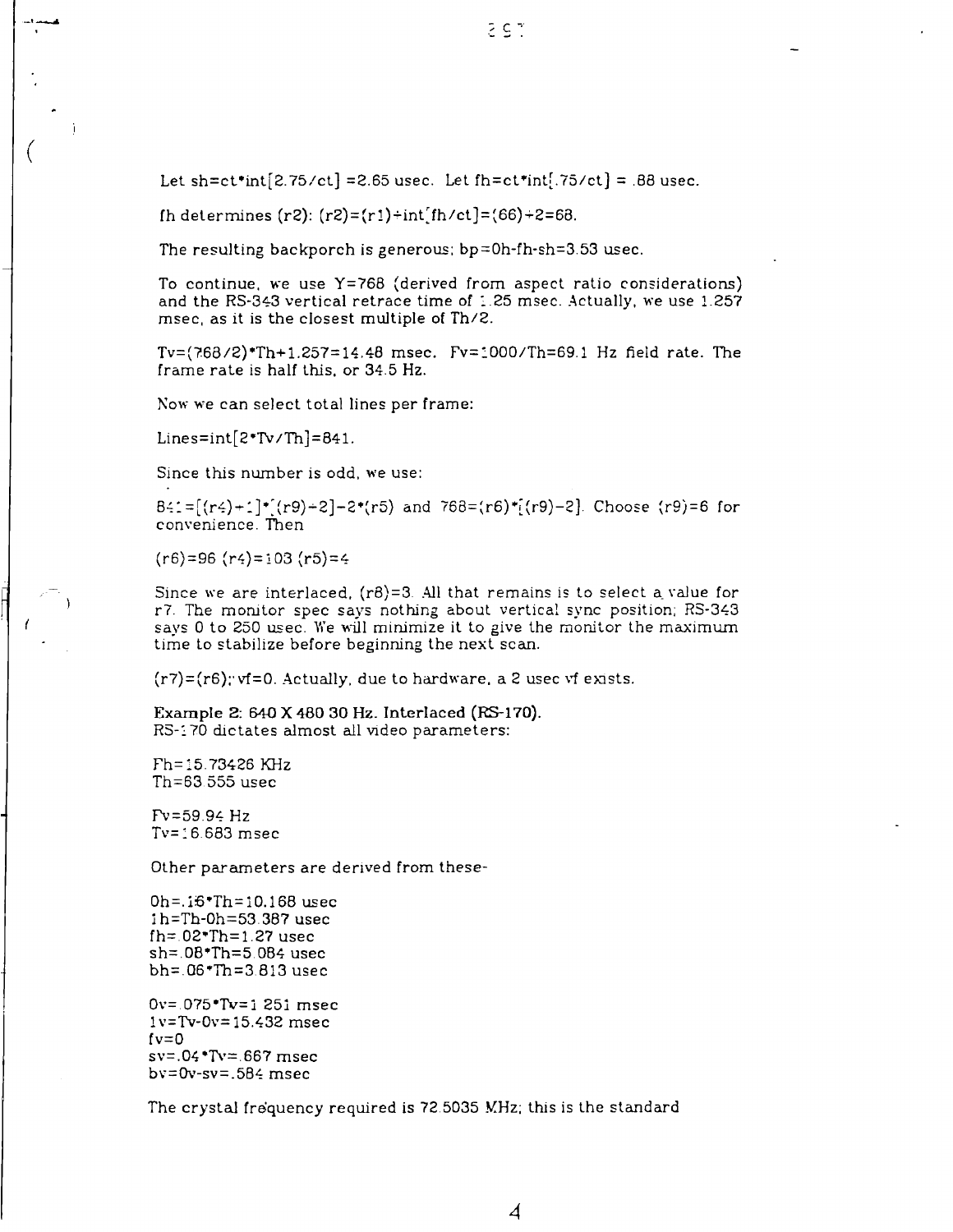Let sh=ct\*int[2.75/ct] = 2.65 usec. Let fh=ct\*int[.75/ct] = .88 usec.

fh determines  $(r2)$ :  $(r2)=(r1)+int[fh/ct] = (66)+2=68$ .

The resulting backporch is generous;  $bp = 0h$ -fh-sh=3.53 usec.

To continue, we use Y=768 (derived from aspect ratio considerations) and the RS-343 vertical retrace time of 1.25 msec. Actually, we use 1.257 msec, as it is the closest multiple of Th/2.

Tv= (7.68/2)\*Th+1.257= 14.48 msec. Fv=1000/Th=69.1 Hz field rate. The frame rate is half this, or 34.5 Hz.

Now we can select total lines per frame:

Lines=int $[2*Tv/Th]=841$ .

Since this number is odd. we use:

B41=[(r4)+1]\*[(r9)+2]-2\*(r5) and 768=(r6)\*[(r9)-2]. Choose (r9)=6 for convenience. Then

 $(r6) = 96 (r4) = 103 (r5) = 4$ 

Since we are interlaced,  $(r8)=3$ . All that remains is to select a value for r7. The monitor spec says nothing about vertical sync position; RS-343 says 0 to 250 usee. We will minimize it to give the monitor the maximum time to stabilize before beginning the next scan.

 $(r7) = (r6)$ ; vf=0. Actually, due to hardware, a 2 usec vf exists.

Example 2: 640 X 480 30 Hz. Interlaced (RS-170). R3-170 dictates almost all video parameters:

Fh= 15.73426 KHz Th=63 555 usee

Fv = 59.94 Hz Tv= 16.683 msec

Other parameters are derived from these-

0h=.16\*Th=10.168 usee 1 h=Th-0h=53.387 usee fh=.02\*Th=1.27 usee sh=.0B\*Th=5.0B4 usee bh=.Q6\*Th = 3 813 usee

0v=.075\*Tv=i 251 msec lv=Tv-0v= 15.432 msec  $f\nu=0$ sv=.04\*Tv=.667 msec  $bv=0v-sv=.5B4$  msec

The crystaJ frequency required is 72.5035 MHz; this is the standard

*4*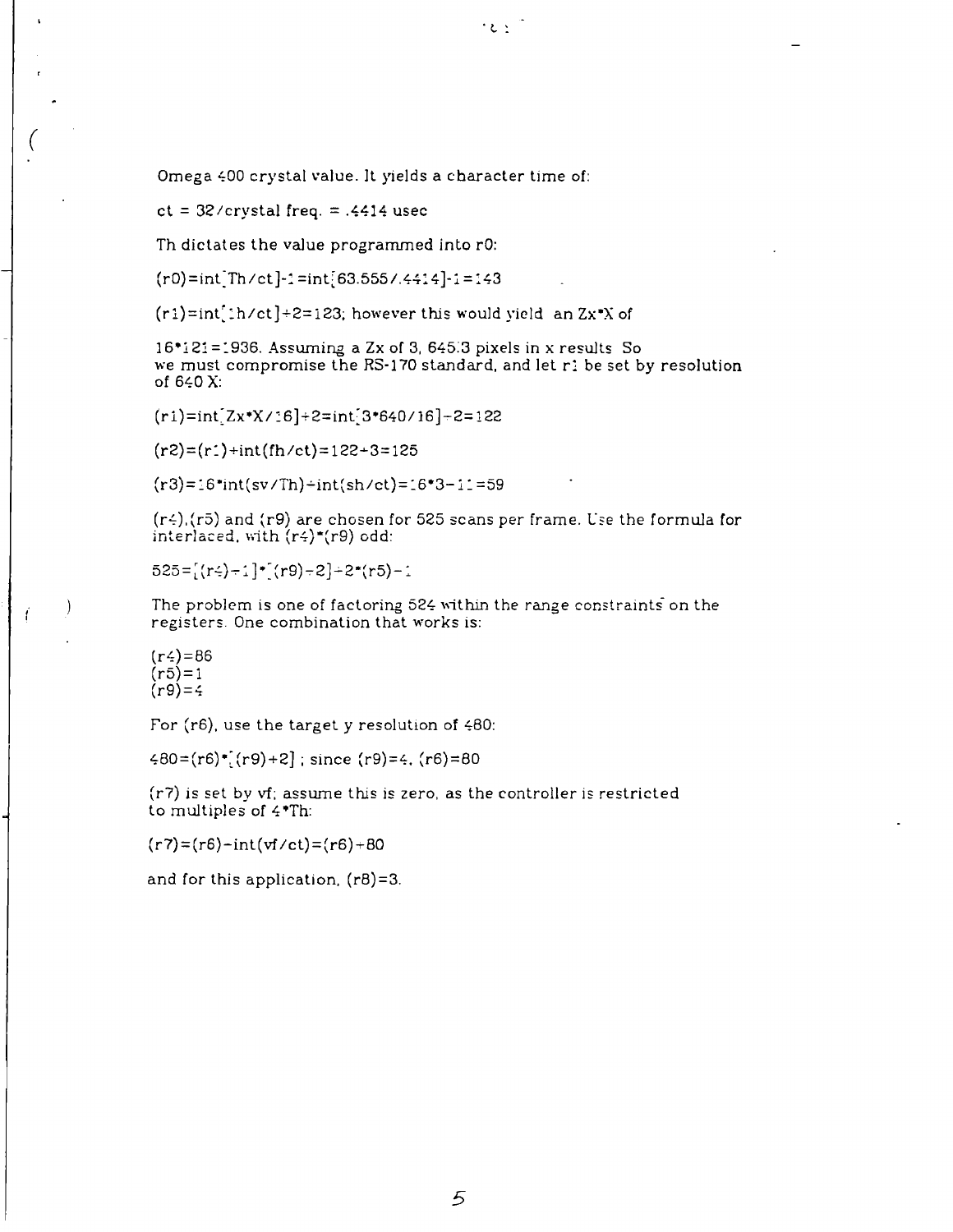Omega 400 crystal value. It yields a character time of:

ct =  $32$ /crystal freq. = .4414 usec

Th dictates the value programmed into rO:

 $(r0)=int Th/ct$ ]-1=int[63.555/.4414]-1=143

 $(r1)=int[1/ct]+2=123$ ; however this would yield an Zx\*X of

16\*121 = 1936. Assuming a Zx of 3, 645.3 pixels in x results So we must compromise the RS-170 standard, and let  $r$ : be set by resolution of 640 X:

 $2.31$ 

 $(r1)=int [Zx*X/16]+2=int [3*640/16]+2=122$  $\mathcal{L}=\mathcal{L}=\mathcal{L}=\mathcal{L}=\mathcal{L}=\mathcal{L}=\mathcal{L}=\mathcal{L}=\mathcal{L}=\mathcal{L}=\mathcal{L}=\mathcal{L}=\mathcal{L}=\mathcal{L}=\mathcal{L}=\mathcal{L}=\mathcal{L}=\mathcal{L}=\mathcal{L}=\mathcal{L}=\mathcal{L}=\mathcal{L}=\mathcal{L}=\mathcal{L}=\mathcal{L}=\mathcal{L}=\mathcal{L}=\mathcal{L}=\mathcal{L}=\mathcal{L}=\mathcal{L}=\mathcal{L}=\mathcal{L}=\mathcal{L}=\mathcal{L}=\mathcal{L}=\mathcal{$ 

 $\mathcal{C}(\mathcal{C}) = \mathcal{C}(\mathcal{C})$  and  $\mathcal{C}(\mathcal{C}) = \mathcal{C}(\mathcal{C})$  . The interpretational subset of  $\mathcal{C}(\mathcal{C})$ 

 $(r3)=16*int(sv/Th)-int(sh/ct)=16*3-11=59$  $\mathcal{L}(\mathcal{S}) = \mathcal{L}(\mathcal{S}) = \mathcal{L}(\mathcal{S}) = \mathcal{L}(\mathcal{S}) = \mathcal{L}(\mathcal{S}) = \mathcal{L}(\mathcal{S}) = \mathcal{L}(\mathcal{S}) = \mathcal{L}(\mathcal{S}) = \mathcal{L}(\mathcal{S}) = \mathcal{L}(\mathcal{S}) = \mathcal{L}(\mathcal{S}) = \mathcal{L}(\mathcal{S}) = \mathcal{L}(\mathcal{S}) = \mathcal{L}(\mathcal{S}) = \mathcal{L}(\mathcal{S}) = \mathcal{L}(\mathcal{S}) = \mathcal{L}(\mathcal{S})$ 

 $(r<sub>1</sub>)(r<sub>5</sub>)$  and  $(r<sub>9</sub>)$  are chosen for 525 scans per frame. Use the formula for interlaced, with  $(r<sub>4</sub>)*(r<sub>9</sub>)$  odd:

 $525 = [(r4) - 1] * [(r9) - 2] + 2*(r5) - 1$ 

The problem is one of factoring 524 within the range constraints on the registers. One combination that works is:

 $(r_{\frac{1}{2}}) = 86$  $(r5)=1$  $(r9) = 4$ 

For (r6), use the target y resolution of 480:

 $480 = (r6) * [(r9) + 2]$ ; since  $(r9) = 4$ .  $(r6) = 80$ 

(r7) is set by vf; assume this is zero, as the controller is restricted to multiples of 4\*Th:

 $(r7) = (r6) - \text{int}(vf/ct) = (r6) + 80$ 

and for this application.  $(rB)=3$ .